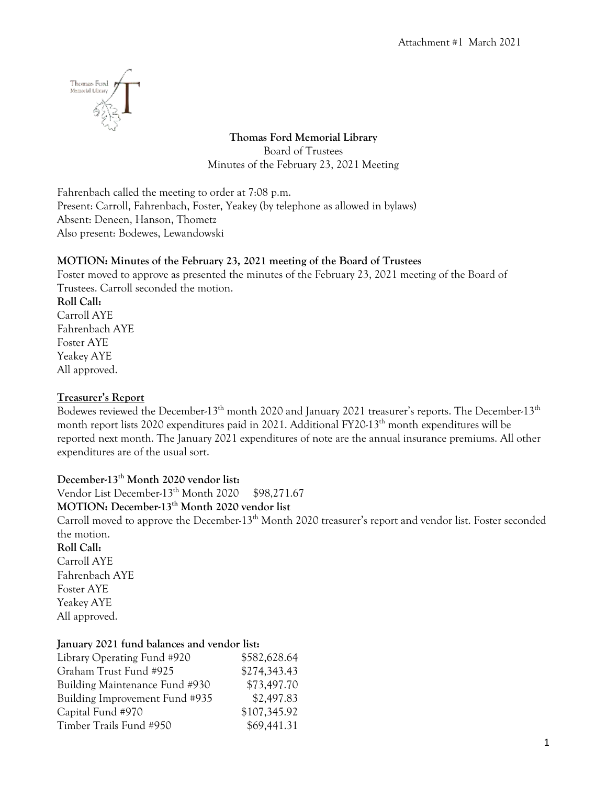

**Thomas Ford Memorial Library** Board of Trustees Minutes of the February 23, 2021 Meeting

Fahrenbach called the meeting to order at 7:08 p.m. Present: Carroll, Fahrenbach, Foster, Yeakey (by telephone as allowed in bylaws) Absent: Deneen, Hanson, Thometz Also present: Bodewes, Lewandowski

#### **MOTION: Minutes of the February 23, 2021 meeting of the Board of Trustees**

Foster moved to approve as presented the minutes of the February 23, 2021 meeting of the Board of Trustees. Carroll seconded the motion.

**Roll Call:** Carroll AYE Fahrenbach AYE Foster AYE Yeakey AYE All approved.

#### **Treasurer's Report**

Bodewes reviewed the December-13<sup>th</sup> month 2020 and January 2021 treasurer's reports. The December-13<sup>th</sup> month report lists 2020 expenditures paid in 2021. Additional FY20-13<sup>th</sup> month expenditures will be reported next month. The January 2021 expenditures of note are the annual insurance premiums. All other expenditures are of the usual sort.

**December-13th Month 2020 vendor list:** Vendor List December-13<sup>th</sup> Month 2020 \$98,271.67 **MOTION: December-13th Month 2020 vendor list** Carroll moved to approve the December-13<sup>th</sup> Month 2020 treasurer's report and vendor list. Foster seconded the motion. **Roll Call:** Carroll AYE Fahrenbach AYE Foster AYE Yeakey AYE All approved.

#### **January 2021 fund balances and vendor list:**

| \$582,628.64 |
|--------------|
| \$274,343.43 |
| \$73,497.70  |
| \$2,497.83   |
| \$107,345.92 |
| \$69,441.31  |
|              |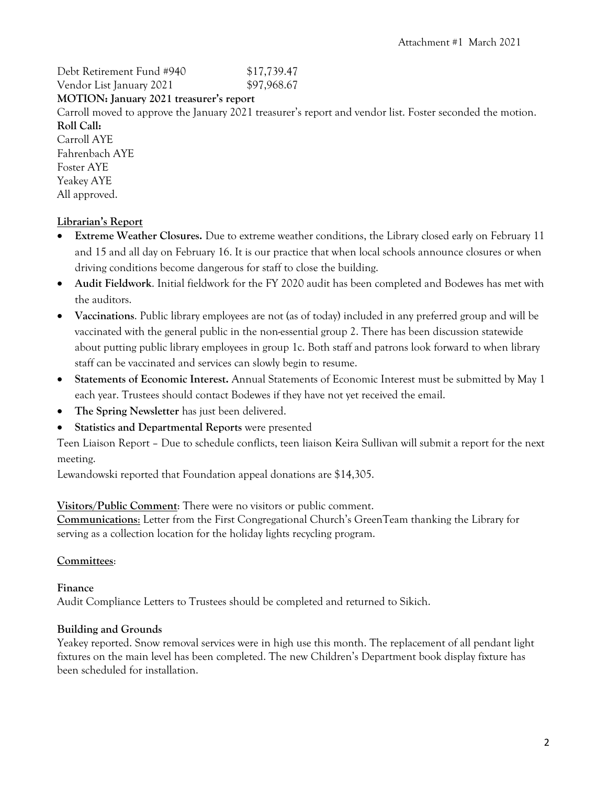Debt Retirement Fund #940 \$17,739.47 Vendor List January 2021 \$97,968.67

#### **MOTION: January 2021 treasurer's report**

Carroll moved to approve the January 2021 treasurer's report and vendor list. Foster seconded the motion. **Roll Call:**

Carroll AYE Fahrenbach AYE Foster AYE Yeakey AYE All approved.

## **Librarian's Report**

- **Extreme Weather Closures.** Due to extreme weather conditions, the Library closed early on February 11 and 15 and all day on February 16. It is our practice that when local schools announce closures or when driving conditions become dangerous for staff to close the building.
- **Audit Fieldwork**. Initial fieldwork for the FY 2020 audit has been completed and Bodewes has met with the auditors.
- **Vaccinations**. Public library employees are not (as of today) included in any preferred group and will be vaccinated with the general public in the non-essential group 2. There has been discussion statewide about putting public library employees in group 1c. Both staff and patrons look forward to when library staff can be vaccinated and services can slowly begin to resume.
- **Statements of Economic Interest.** Annual Statements of Economic Interest must be submitted by May 1 each year. Trustees should contact Bodewes if they have not yet received the email.
- **The Spring Newsletter** has just been delivered.
- **Statistics and Departmental Reports** were presented

Teen Liaison Report – Due to schedule conflicts, teen liaison Keira Sullivan will submit a report for the next meeting.

Lewandowski reported that Foundation appeal donations are \$14,305.

**Visitors/Public Comment**: There were no visitors or public comment.

**Communications**: Letter from the First Congregational Church's GreenTeam thanking the Library for serving as a collection location for the holiday lights recycling program.

## **Committees**:

## **Finance**

Audit Compliance Letters to Trustees should be completed and returned to Sikich.

## **Building and Grounds**

Yeakey reported. Snow removal services were in high use this month. The replacement of all pendant light fixtures on the main level has been completed. The new Children's Department book display fixture has been scheduled for installation.